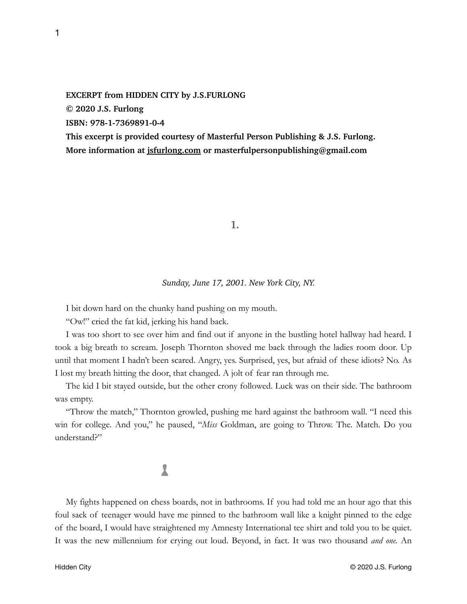**EXCERPT from HIDDEN CITY by J.S.FURLONG** 

**© 2020 J.S. Furlong** 

**ISBN: 978-1-7369891-0-4** 

**This excerpt is provided courtesy of Masterful Person Publishing & J.S. Furlong. More information at [jsfurlong.com](http://jsfurlong.com) or masterfulpersonpublishing@gmail.com** 

 **1.** 

#### *Sunday, June 17, 2001. New York City, NY.*

I bit down hard on the chunky hand pushing on my mouth.

"Ow!" cried the fat kid, jerking his hand back.

I was too short to see over him and find out if anyone in the bustling hotel hallway had heard. I took a big breath to scream. Joseph Thornton shoved me back through the ladies room door. Up until that moment I hadn't been scared. Angry, yes. Surprised, yes, but afraid of these idiots? No. As I lost my breath hitting the door, that changed. A jolt of fear ran through me.

The kid I bit stayed outside, but the other crony followed. Luck was on their side. The bathroom was empty.

"Throw the match," Thornton growled, pushing me hard against the bathroom wall. "I need this win for college. And you," he paused, "*Miss* Goldman, are going to Throw. The. Match. Do you understand?"

# 1

My fights happened on chess boards, not in bathrooms. If you had told me an hour ago that this foul sack of teenager would have me pinned to the bathroom wall like a knight pinned to the edge of the board, I would have straightened my Amnesty International tee shirt and told you to be quiet. It was the new millennium for crying out loud. Beyond, in fact. It was two thousand *and one.* An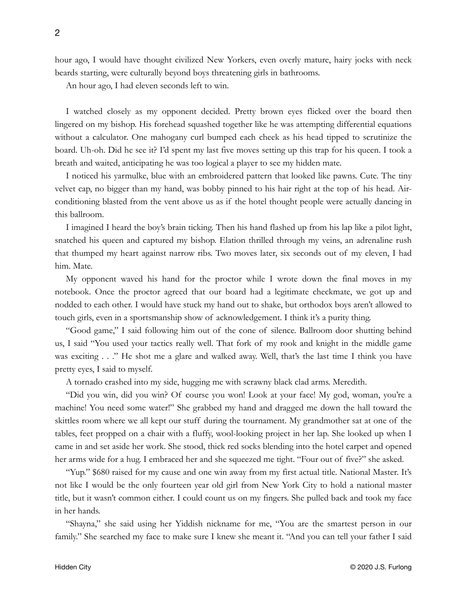hour ago, I would have thought civilized New Yorkers, even overly mature, hairy jocks with neck beards starting, were culturally beyond boys threatening girls in bathrooms.

An hour ago, I had eleven seconds left to win.

I watched closely as my opponent decided. Pretty brown eyes flicked over the board then lingered on my bishop. His forehead squashed together like he was attempting differential equations without a calculator. One mahogany curl bumped each cheek as his head tipped to scrutinize the board. Uh-oh. Did he see it? I'd spent my last five moves setting up this trap for his queen. I took a breath and waited, anticipating he was too logical a player to see my hidden mate.

I noticed his yarmulke, blue with an embroidered pattern that looked like pawns. Cute. The tiny velvet cap, no bigger than my hand, was bobby pinned to his hair right at the top of his head. Airconditioning blasted from the vent above us as if the hotel thought people were actually dancing in this ballroom.

I imagined I heard the boy's brain ticking. Then his hand flashed up from his lap like a pilot light, snatched his queen and captured my bishop. Elation thrilled through my veins, an adrenaline rush that thumped my heart against narrow ribs. Two moves later, six seconds out of my eleven, I had him. Mate.

My opponent waved his hand for the proctor while I wrote down the final moves in my notebook. Once the proctor agreed that our board had a legitimate checkmate, we got up and nodded to each other. I would have stuck my hand out to shake, but orthodox boys aren't allowed to touch girls, even in a sportsmanship show of acknowledgement. I think it's a purity thing.

"Good game," I said following him out of the cone of silence. Ballroom door shutting behind us, I said "You used your tactics really well. That fork of my rook and knight in the middle game was exciting . . ." He shot me a glare and walked away. Well, that's the last time I think you have pretty eyes, I said to myself.

A tornado crashed into my side, hugging me with scrawny black clad arms. Meredith.

"Did you win, did you win? Of course you won! Look at your face! My god, woman, you're a machine! You need some water!" She grabbed my hand and dragged me down the hall toward the skittles room where we all kept our stuff during the tournament. My grandmother sat at one of the tables, feet propped on a chair with a fluffy, wool-looking project in her lap. She looked up when I came in and set aside her work. She stood, thick red socks blending into the hotel carpet and opened her arms wide for a hug. I embraced her and she squeezed me tight. "Four out of five?" she asked.

"Yup." \$680 raised for my cause and one win away from my first actual title. National Master. It's not like I would be the only fourteen year old girl from New York City to hold a national master title, but it wasn't common either. I could count us on my fingers. She pulled back and took my face in her hands.

"Shayna," she said using her Yiddish nickname for me, "You are the smartest person in our family." She searched my face to make sure I knew she meant it. "And you can tell your father I said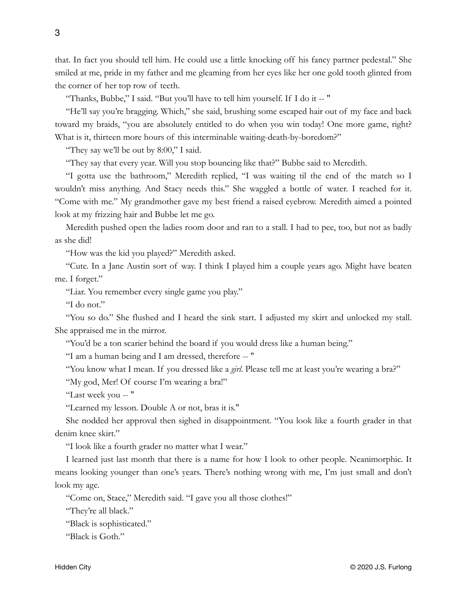that. In fact you should tell him. He could use a little knocking off his fancy partner pedestal." She smiled at me, pride in my father and me gleaming from her eyes like her one gold tooth glinted from the corner of her top row of teeth.

"Thanks, Bubbe," I said. "But you'll have to tell him yourself. If I do it -- "

"He'll say you're bragging. Which," she said, brushing some escaped hair out of my face and back toward my braids, "you are absolutely entitled to do when you win today! One more game, right? What is it, thirteen more hours of this interminable waiting-death-by-boredom?"

"They say we'll be out by 8:00," I said.

"They say that every year. Will you stop bouncing like that?" Bubbe said to Meredith.

"I gotta use the bathroom," Meredith replied, "I was waiting til the end of the match so I wouldn't miss anything. And Stacy needs this." She waggled a bottle of water. I reached for it. "Come with me." My grandmother gave my best friend a raised eyebrow. Meredith aimed a pointed look at my frizzing hair and Bubbe let me go.

Meredith pushed open the ladies room door and ran to a stall. I had to pee, too, but not as badly as she did!

"How was the kid you played?" Meredith asked.

"Cute. In a Jane Austin sort of way. I think I played him a couple years ago. Might have beaten me. I forget."

"Liar. You remember every single game you play."

"I do not"

"You so do." She flushed and I heard the sink start. I adjusted my skirt and unlocked my stall. She appraised me in the mirror.

"You'd be a ton scarier behind the board if you would dress like a human being."

"I am a human being and I am dressed, therefore -- "

"You know what I mean. If you dressed like a *girl*. Please tell me at least you're wearing a bra?"

"My god, Mer! Of course I'm wearing a bra!"

"Last week you -- "

"Learned my lesson. Double A or not, bras it is."

She nodded her approval then sighed in disappointment. "You look like a fourth grader in that denim knee skirt."

"I look like a fourth grader no matter what I wear."

I learned just last month that there is a name for how I look to other people. Neanimorphic. It means looking younger than one's years. There's nothing wrong with me, I'm just small and don't look my age.

"Come on, Stace," Meredith said. "I gave you all those clothes!"

"They're all black."

"Black is sophisticated."

"Black is Goth."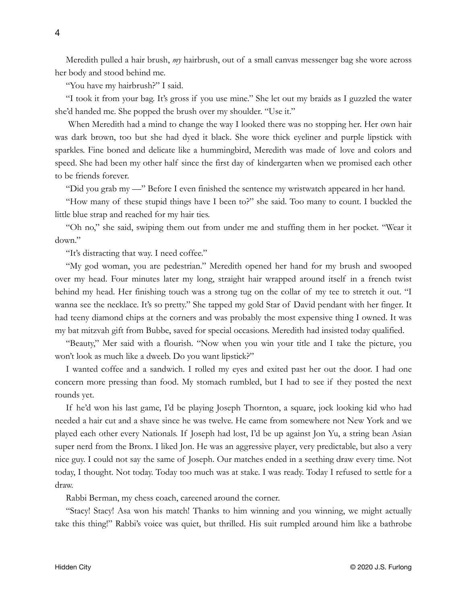Meredith pulled a hair brush, *my* hairbrush, out of a small canvas messenger bag she wore across her body and stood behind me.

"You have my hairbrush?" I said.

"I took it from your bag. It's gross if you use mine." She let out my braids as I guzzled the water she'd handed me. She popped the brush over my shoulder. "Use it."

 When Meredith had a mind to change the way I looked there was no stopping her. Her own hair was dark brown, too but she had dyed it black. She wore thick eyeliner and purple lipstick with sparkles. Fine boned and delicate like a hummingbird, Meredith was made of love and colors and speed. She had been my other half since the first day of kindergarten when we promised each other to be friends forever.

"Did you grab my —" Before I even finished the sentence my wristwatch appeared in her hand.

"How many of these stupid things have I been to?" she said. Too many to count. I buckled the little blue strap and reached for my hair ties.

"Oh no," she said, swiping them out from under me and stuffing them in her pocket. "Wear it down."

"It's distracting that way. I need coffee."

"My god woman, you are pedestrian." Meredith opened her hand for my brush and swooped over my head. Four minutes later my long, straight hair wrapped around itself in a french twist behind my head. Her finishing touch was a strong tug on the collar of my tee to stretch it out. "I wanna see the necklace. It's so pretty." She tapped my gold Star of David pendant with her finger. It had teeny diamond chips at the corners and was probably the most expensive thing I owned. It was my bat mitzvah gift from Bubbe, saved for special occasions. Meredith had insisted today qualified.

"Beauty," Mer said with a flourish. "Now when you win your title and I take the picture, you won't look as much like a dweeb. Do you want lipstick?"

I wanted coffee and a sandwich. I rolled my eyes and exited past her out the door. I had one concern more pressing than food. My stomach rumbled, but I had to see if they posted the next rounds yet.

If he'd won his last game, I'd be playing Joseph Thornton, a square, jock looking kid who had needed a hair cut and a shave since he was twelve. He came from somewhere not New York and we played each other every Nationals. If Joseph had lost, I'd be up against Jon Yu, a string bean Asian super nerd from the Bronx. I liked Jon. He was an aggressive player, very predictable, but also a very nice guy. I could not say the same of Joseph. Our matches ended in a seething draw every time. Not today, I thought. Not today. Today too much was at stake. I was ready. Today I refused to settle for a draw.

Rabbi Berman, my chess coach, careened around the corner.

"Stacy! Stacy! Asa won his match! Thanks to him winning and you winning, we might actually take this thing!" Rabbi's voice was quiet, but thrilled. His suit rumpled around him like a bathrobe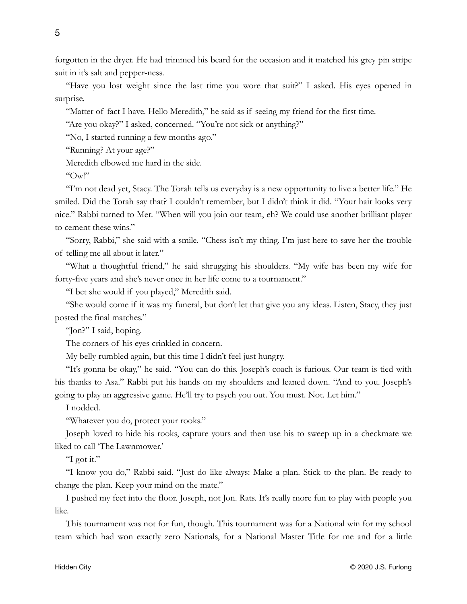forgotten in the dryer. He had trimmed his beard for the occasion and it matched his grey pin stripe suit in it's salt and pepper-ness.

"Have you lost weight since the last time you wore that suit?" I asked. His eyes opened in surprise.

"Matter of fact I have. Hello Meredith," he said as if seeing my friend for the first time.

"Are you okay?" I asked, concerned. "You're not sick or anything?"

"No, I started running a few months ago."

"Running? At your age?"

Meredith elbowed me hard in the side.

" $\text{Cw}$ "

"I'm not dead yet, Stacy. The Torah tells us everyday is a new opportunity to live a better life." He smiled. Did the Torah say that? I couldn't remember, but I didn't think it did. "Your hair looks very nice." Rabbi turned to Mer. "When will you join our team, eh? We could use another brilliant player to cement these wins."

"Sorry, Rabbi," she said with a smile. "Chess isn't my thing. I'm just here to save her the trouble of telling me all about it later."

"What a thoughtful friend," he said shrugging his shoulders. "My wife has been my wife for forty-five years and she's never once in her life come to a tournament."

"I bet she would if you played," Meredith said.

"She would come if it was my funeral, but don't let that give you any ideas. Listen, Stacy, they just posted the final matches."

"Jon?" I said, hoping.

The corners of his eyes crinkled in concern.

My belly rumbled again, but this time I didn't feel just hungry.

"It's gonna be okay," he said. "You can do this. Joseph's coach is furious. Our team is tied with his thanks to Asa." Rabbi put his hands on my shoulders and leaned down. "And to you. Joseph's going to play an aggressive game. He'll try to psych you out. You must. Not. Let him."

I nodded.

"Whatever you do, protect your rooks."

Joseph loved to hide his rooks, capture yours and then use his to sweep up in a checkmate we liked to call 'The Lawnmower.'

"I got it."

"I know you do," Rabbi said. "Just do like always: Make a plan. Stick to the plan. Be ready to change the plan. Keep your mind on the mate."

I pushed my feet into the floor. Joseph, not Jon. Rats. It's really more fun to play with people you like.

This tournament was not for fun, though. This tournament was for a National win for my school team which had won exactly zero Nationals, for a National Master Title for me and for a little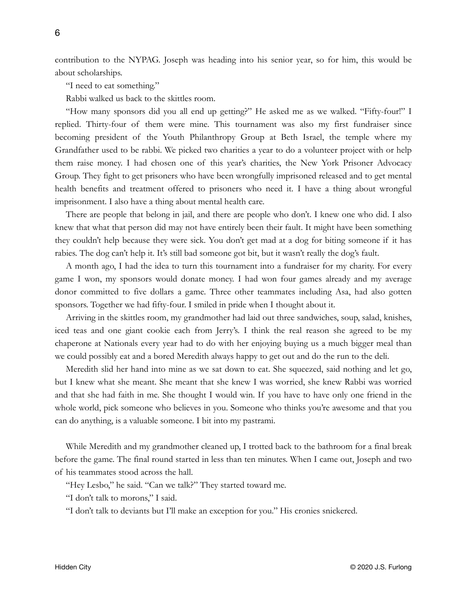contribution to the NYPAG. Joseph was heading into his senior year, so for him, this would be about scholarships.

"I need to eat something."

Rabbi walked us back to the skittles room.

"How many sponsors did you all end up getting?" He asked me as we walked. "Fifty-four!" I replied. Thirty-four of them were mine. This tournament was also my first fundraiser since becoming president of the Youth Philanthropy Group at Beth Israel, the temple where my Grandfather used to be rabbi. We picked two charities a year to do a volunteer project with or help them raise money. I had chosen one of this year's charities, the New York Prisoner Advocacy Group. They fight to get prisoners who have been wrongfully imprisoned released and to get mental health benefits and treatment offered to prisoners who need it. I have a thing about wrongful imprisonment. I also have a thing about mental health care.

There are people that belong in jail, and there are people who don't. I knew one who did. I also knew that what that person did may not have entirely been their fault. It might have been something they couldn't help because they were sick. You don't get mad at a dog for biting someone if it has rabies. The dog can't help it. It's still bad someone got bit, but it wasn't really the dog's fault.

A month ago, I had the idea to turn this tournament into a fundraiser for my charity. For every game I won, my sponsors would donate money. I had won four games already and my average donor committed to five dollars a game. Three other teammates including Asa, had also gotten sponsors. Together we had fifty-four. I smiled in pride when I thought about it.

Arriving in the skittles room, my grandmother had laid out three sandwiches, soup, salad, knishes, iced teas and one giant cookie each from Jerry's. I think the real reason she agreed to be my chaperone at Nationals every year had to do with her enjoying buying us a much bigger meal than we could possibly eat and a bored Meredith always happy to get out and do the run to the deli.

Meredith slid her hand into mine as we sat down to eat. She squeezed, said nothing and let go, but I knew what she meant. She meant that she knew I was worried, she knew Rabbi was worried and that she had faith in me. She thought I would win. If you have to have only one friend in the whole world, pick someone who believes in you. Someone who thinks you're awesome and that you can do anything, is a valuable someone. I bit into my pastrami.

While Meredith and my grandmother cleaned up, I trotted back to the bathroom for a final break before the game. The final round started in less than ten minutes. When I came out, Joseph and two of his teammates stood across the hall.

"Hey Lesbo," he said. "Can we talk?" They started toward me.

"I don't talk to morons," I said.

"I don't talk to deviants but I'll make an exception for you." His cronies snickered.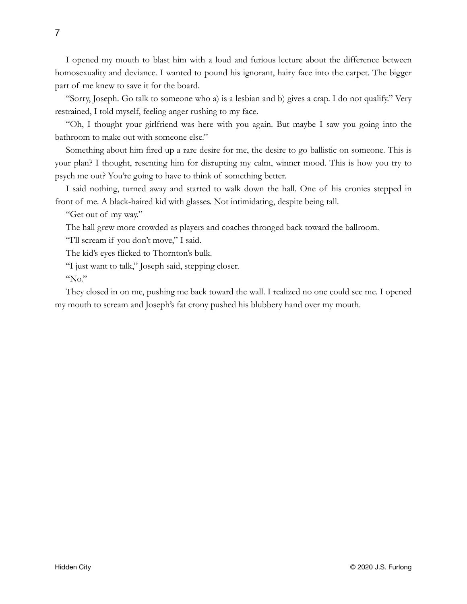I opened my mouth to blast him with a loud and furious lecture about the difference between homosexuality and deviance. I wanted to pound his ignorant, hairy face into the carpet. The bigger part of me knew to save it for the board.

"Sorry, Joseph. Go talk to someone who a) is a lesbian and b) gives a crap. I do not qualify." Very restrained, I told myself, feeling anger rushing to my face.

"Oh, I thought your girlfriend was here with you again. But maybe I saw you going into the bathroom to make out with someone else."

Something about him fired up a rare desire for me, the desire to go ballistic on someone. This is your plan? I thought, resenting him for disrupting my calm, winner mood. This is how you try to psych me out? You're going to have to think of something better.

I said nothing, turned away and started to walk down the hall. One of his cronies stepped in front of me. A black-haired kid with glasses. Not intimidating, despite being tall.

"Get out of my way."

The hall grew more crowded as players and coaches thronged back toward the ballroom.

"I'll scream if you don't move," I said.

The kid's eyes flicked to Thornton's bulk.

"I just want to talk," Joseph said, stepping closer.

"No."

They closed in on me, pushing me back toward the wall. I realized no one could see me. I opened my mouth to scream and Joseph's fat crony pushed his blubbery hand over my mouth.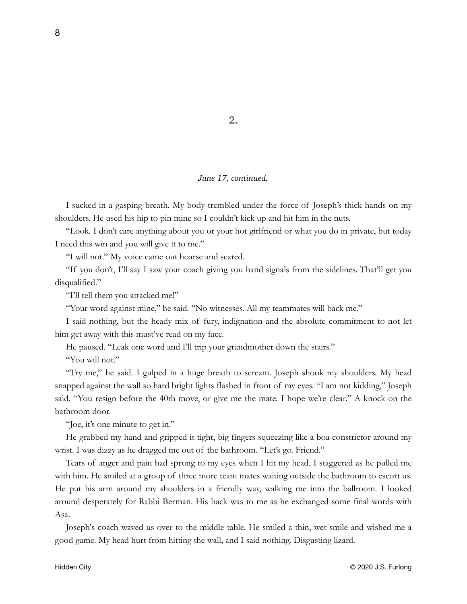### *June 17, continued.*

I sucked in a gasping breath. My body trembled under the force of Joseph's thick hands on my shoulders. He used his hip to pin mine so I couldn't kick up and hit him in the nuts.

"Look. I don't care anything about you or your hot girlfriend or what you do in private, but today I need this win and you will give it to me."

"I will not." My voice came out hoarse and scared.

"If you don't, I'll say I saw your coach giving you hand signals from the sidelines. That'll get you disqualified."

"I'll tell them you attacked me!"

"Your word against mine," he said. "No witnesses. All my teammates will back me."

I said nothing, but the heady mix of fury, indignation and the absolute commitment to not let him get away with this must've read on my face.

He paused. "Leak one word and I'll trip your grandmother down the stairs."

"You will not."

"Try me," he said. I gulped in a huge breath to scream. Joseph shook my shoulders. My head snapped against the wall so hard bright lights flashed in front of my eyes. "I am not kidding," Joseph said. "You resign before the 40th move, or give me the mate. I hope we're clear." A knock on the bathroom door.

"Joe, it's one minute to get in."

He grabbed my hand and gripped it tight, big fingers squeezing like a boa constrictor around my wrist. I was dizzy as he dragged me out of the bathroom. "Let's go. Friend."

Tears of anger and pain had sprung to my eyes when I hit my head. I staggered as he pulled me with him. He smiled at a group of three more team mates waiting outside the bathroom to escort us. He put his arm around my shoulders in a friendly way, walking me into the ballroom. I looked around desperately for Rabbi Berman. His back was to me as he exchanged some final words with Asa.

Joseph's coach waved us over to the middle table. He smiled a thin, wet smile and wished me a good game. My head hurt from hitting the wall, and I said nothing. Disgusting lizard.

**2.**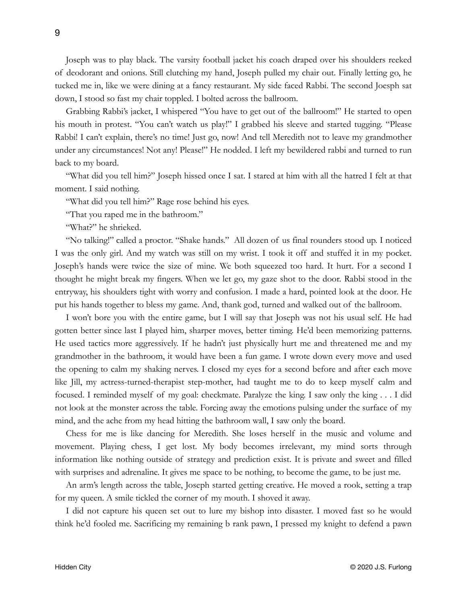Joseph was to play black. The varsity football jacket his coach draped over his shoulders reeked of deodorant and onions. Still clutching my hand, Joseph pulled my chair out. Finally letting go, he tucked me in, like we were dining at a fancy restaurant. My side faced Rabbi. The second Joesph sat down, I stood so fast my chair toppled. I bolted across the ballroom.

Grabbing Rabbi's jacket, I whispered "You have to get out of the ballroom!" He started to open his mouth in protest. "You can't watch us play!" I grabbed his sleeve and started tugging. "Please Rabbi! I can't explain, there's no time! Just go, now! And tell Meredith not to leave my grandmother under any circumstances! Not any! Please!" He nodded. I left my bewildered rabbi and turned to run back to my board.

"What did you tell him?" Joseph hissed once I sat. I stared at him with all the hatred I felt at that moment. I said nothing.

"What did you tell him?" Rage rose behind his eyes.

"That you raped me in the bathroom."

"What?" he shrieked.

"No talking!" called a proctor. "Shake hands." All dozen of us final rounders stood up. I noticed I was the only girl. And my watch was still on my wrist. I took it off and stuffed it in my pocket. Joseph's hands were twice the size of mine. We both squeezed too hard. It hurt. For a second I thought he might break my fingers. When we let go, my gaze shot to the door. Rabbi stood in the entryway, his shoulders tight with worry and confusion. I made a hard, pointed look at the door. He put his hands together to bless my game. And, thank god, turned and walked out of the ballroom.

I won't bore you with the entire game, but I will say that Joseph was not his usual self. He had gotten better since last I played him, sharper moves, better timing. He'd been memorizing patterns. He used tactics more aggressively. If he hadn't just physically hurt me and threatened me and my grandmother in the bathroom, it would have been a fun game. I wrote down every move and used the opening to calm my shaking nerves. I closed my eyes for a second before and after each move like Jill, my actress-turned-therapist step-mother, had taught me to do to keep myself calm and focused. I reminded myself of my goal: checkmate. Paralyze the king. I saw only the king . . . I did not look at the monster across the table. Forcing away the emotions pulsing under the surface of my mind, and the ache from my head hitting the bathroom wall, I saw only the board.

Chess for me is like dancing for Meredith. She loses herself in the music and volume and movement. Playing chess, I get lost. My body becomes irrelevant, my mind sorts through information like nothing outside of strategy and prediction exist. It is private and sweet and filled with surprises and adrenaline. It gives me space to be nothing, to become the game, to be just me.

An arm's length across the table, Joseph started getting creative. He moved a rook, setting a trap for my queen. A smile tickled the corner of my mouth. I shoved it away.

I did not capture his queen set out to lure my bishop into disaster. I moved fast so he would think he'd fooled me. Sacrificing my remaining b rank pawn, I pressed my knight to defend a pawn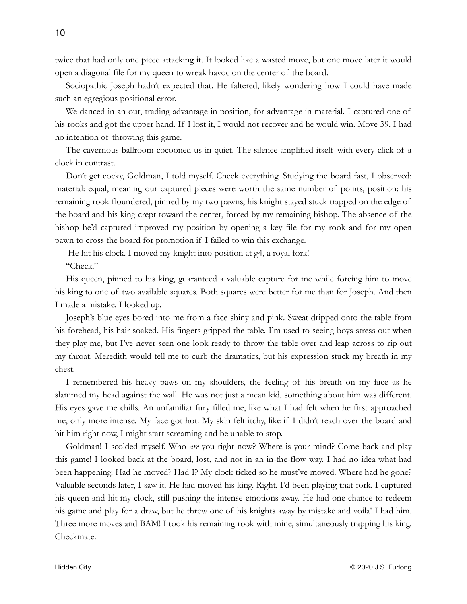twice that had only one piece attacking it. It looked like a wasted move, but one move later it would open a diagonal file for my queen to wreak havoc on the center of the board.

Sociopathic Joseph hadn't expected that. He faltered, likely wondering how I could have made such an egregious positional error.

We danced in an out, trading advantage in position, for advantage in material. I captured one of his rooks and got the upper hand. If I lost it, I would not recover and he would win. Move 39. I had no intention of throwing this game.

The cavernous ballroom cocooned us in quiet. The silence amplified itself with every click of a clock in contrast.

Don't get cocky, Goldman, I told myself. Check everything. Studying the board fast, I observed: material: equal, meaning our captured pieces were worth the same number of points, position: his remaining rook floundered, pinned by my two pawns, his knight stayed stuck trapped on the edge of the board and his king crept toward the center, forced by my remaining bishop. The absence of the bishop he'd captured improved my position by opening a key file for my rook and for my open pawn to cross the board for promotion if I failed to win this exchange.

He hit his clock. I moved my knight into position at g4, a royal fork!

"Check."

His queen, pinned to his king, guaranteed a valuable capture for me while forcing him to move his king to one of two available squares. Both squares were better for me than for Joseph. And then I made a mistake. I looked up.

Joseph's blue eyes bored into me from a face shiny and pink. Sweat dripped onto the table from his forehead, his hair soaked. His fingers gripped the table. I'm used to seeing boys stress out when they play me, but I've never seen one look ready to throw the table over and leap across to rip out my throat. Meredith would tell me to curb the dramatics, but his expression stuck my breath in my chest.

I remembered his heavy paws on my shoulders, the feeling of his breath on my face as he slammed my head against the wall. He was not just a mean kid, something about him was different. His eyes gave me chills. An unfamiliar fury filled me, like what I had felt when he first approached me, only more intense. My face got hot. My skin felt itchy, like if I didn't reach over the board and hit him right now, I might start screaming and be unable to stop.

Goldman! I scolded myself. Who *are* you right now? Where is your mind? Come back and play this game! I looked back at the board, lost, and not in an in-the-flow way. I had no idea what had been happening. Had he moved? Had I? My clock ticked so he must've moved. Where had he gone? Valuable seconds later, I saw it. He had moved his king. Right, I'd been playing that fork. I captured his queen and hit my clock, still pushing the intense emotions away. He had one chance to redeem his game and play for a draw, but he threw one of his knights away by mistake and voila! I had him. Three more moves and BAM! I took his remaining rook with mine, simultaneously trapping his king. Checkmate.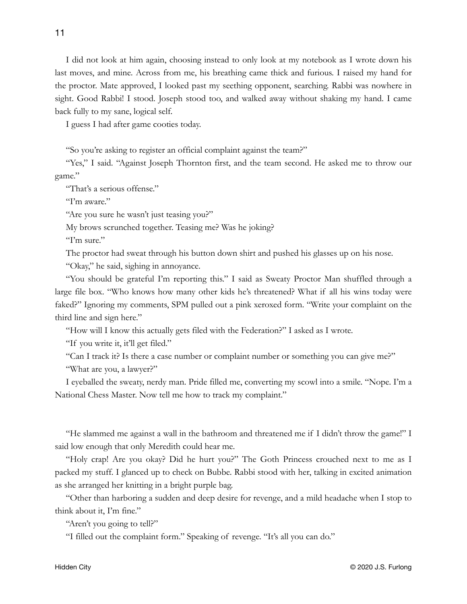I did not look at him again, choosing instead to only look at my notebook as I wrote down his last moves, and mine. Across from me, his breathing came thick and furious. I raised my hand for the proctor. Mate approved, I looked past my seething opponent, searching. Rabbi was nowhere in sight. Good Rabbi! I stood. Joseph stood too, and walked away without shaking my hand. I came back fully to my sane, logical self.

I guess I had after game cooties today.

"So you're asking to register an official complaint against the team?"

"Yes," I said. "Against Joseph Thornton first, and the team second. He asked me to throw our game."

"That's a serious offense."

"I'm aware."

"Are you sure he wasn't just teasing you?"

My brows scrunched together. Teasing me? Was he joking?

"I'm sure."

The proctor had sweat through his button down shirt and pushed his glasses up on his nose.

"Okay," he said, sighing in annoyance.

"You should be grateful I'm reporting this." I said as Sweaty Proctor Man shuffled through a large file box. "Who knows how many other kids he's threatened? What if all his wins today were faked?" Ignoring my comments, SPM pulled out a pink xeroxed form. "Write your complaint on the third line and sign here."

"How will I know this actually gets filed with the Federation?" I asked as I wrote.

"If you write it, it'll get filed."

"Can I track it? Is there a case number or complaint number or something you can give me?"

"What are you, a lawyer?"

I eyeballed the sweaty, nerdy man. Pride filled me, converting my scowl into a smile. "Nope. I'm a National Chess Master. Now tell me how to track my complaint."

"He slammed me against a wall in the bathroom and threatened me if I didn't throw the game!" I said low enough that only Meredith could hear me.

"Holy crap! Are you okay? Did he hurt you?" The Goth Princess crouched next to me as I packed my stuff. I glanced up to check on Bubbe. Rabbi stood with her, talking in excited animation as she arranged her knitting in a bright purple bag.

"Other than harboring a sudden and deep desire for revenge, and a mild headache when I stop to think about it, I'm fine."

"Aren't you going to tell?"

"I filled out the complaint form." Speaking of revenge. "It's all you can do."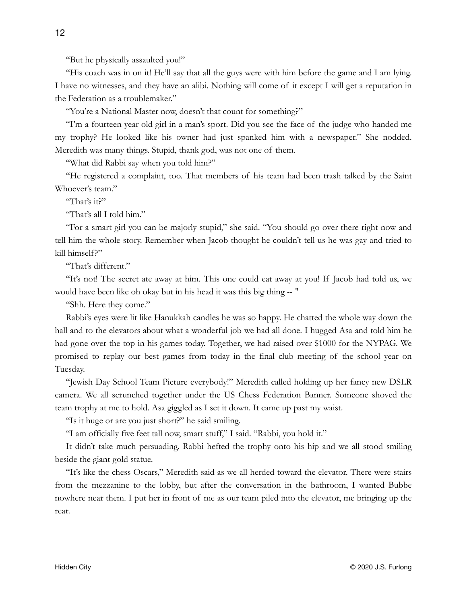"But he physically assaulted you!"

"His coach was in on it! He'll say that all the guys were with him before the game and I am lying. I have no witnesses, and they have an alibi. Nothing will come of it except I will get a reputation in the Federation as a troublemaker."

"You're a National Master now, doesn't that count for something?"

"I'm a fourteen year old girl in a man's sport. Did you see the face of the judge who handed me my trophy? He looked like his owner had just spanked him with a newspaper." She nodded. Meredith was many things. Stupid, thank god, was not one of them.

"What did Rabbi say when you told him?"

"He registered a complaint, too. That members of his team had been trash talked by the Saint Whoever's team."

"That's it?"

"That's all I told him."

"For a smart girl you can be majorly stupid," she said. "You should go over there right now and tell him the whole story. Remember when Jacob thought he couldn't tell us he was gay and tried to kill himself?"

"That's different."

"It's not! The secret ate away at him. This one could eat away at you! If Jacob had told us, we would have been like oh okay but in his head it was this big thing -- "

"Shh. Here they come."

Rabbi's eyes were lit like Hanukkah candles he was so happy. He chatted the whole way down the hall and to the elevators about what a wonderful job we had all done. I hugged Asa and told him he had gone over the top in his games today. Together, we had raised over \$1000 for the NYPAG. We promised to replay our best games from today in the final club meeting of the school year on Tuesday.

"Jewish Day School Team Picture everybody!" Meredith called holding up her fancy new DSLR camera. We all scrunched together under the US Chess Federation Banner. Someone shoved the team trophy at me to hold. Asa giggled as I set it down. It came up past my waist.

"Is it huge or are you just short?" he said smiling.

"I am officially five feet tall now, smart stuff," I said. "Rabbi, you hold it."

It didn't take much persuading. Rabbi hefted the trophy onto his hip and we all stood smiling beside the giant gold statue.

"It's like the chess Oscars," Meredith said as we all herded toward the elevator. There were stairs from the mezzanine to the lobby, but after the conversation in the bathroom, I wanted Bubbe nowhere near them. I put her in front of me as our team piled into the elevator, me bringing up the rear.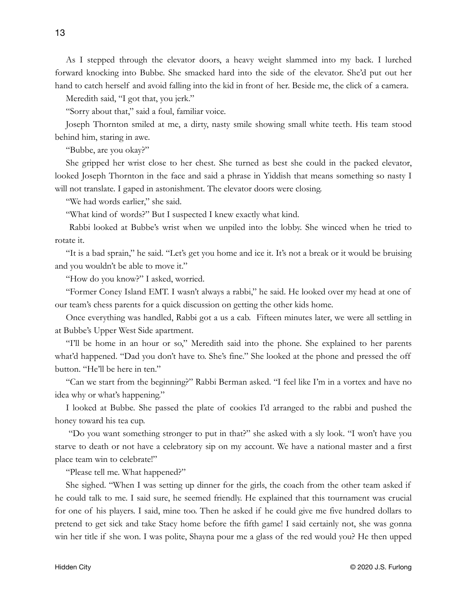As I stepped through the elevator doors, a heavy weight slammed into my back. I lurched forward knocking into Bubbe. She smacked hard into the side of the elevator. She'd put out her hand to catch herself and avoid falling into the kid in front of her. Beside me, the click of a camera.

Meredith said, "I got that, you jerk."

"Sorry about that," said a foul, familiar voice.

Joseph Thornton smiled at me, a dirty, nasty smile showing small white teeth. His team stood behind him, staring in awe.

"Bubbe, are you okay?"

She gripped her wrist close to her chest. She turned as best she could in the packed elevator, looked Joseph Thornton in the face and said a phrase in Yiddish that means something so nasty I will not translate. I gaped in astonishment. The elevator doors were closing.

"We had words earlier," she said.

"What kind of words?" But I suspected I knew exactly what kind.

 Rabbi looked at Bubbe's wrist when we unpiled into the lobby. She winced when he tried to rotate it.

"It is a bad sprain," he said. "Let's get you home and ice it. It's not a break or it would be bruising and you wouldn't be able to move it."

"How do you know?" I asked, worried.

"Former Coney Island EMT. I wasn't always a rabbi," he said. He looked over my head at one of our team's chess parents for a quick discussion on getting the other kids home.

Once everything was handled, Rabbi got a us a cab. Fifteen minutes later, we were all settling in at Bubbe's Upper West Side apartment.

"I'll be home in an hour or so," Meredith said into the phone. She explained to her parents what'd happened. "Dad you don't have to. She's fine." She looked at the phone and pressed the off button. "He'll be here in ten."

"Can we start from the beginning?" Rabbi Berman asked. "I feel like I'm in a vortex and have no idea why or what's happening."

I looked at Bubbe. She passed the plate of cookies I'd arranged to the rabbi and pushed the honey toward his tea cup.

 "Do you want something stronger to put in that?" she asked with a sly look. "I won't have you starve to death or not have a celebratory sip on my account. We have a national master and a first place team win to celebrate!"

"Please tell me. What happened?"

She sighed. "When I was setting up dinner for the girls, the coach from the other team asked if he could talk to me. I said sure, he seemed friendly. He explained that this tournament was crucial for one of his players. I said, mine too. Then he asked if he could give me five hundred dollars to pretend to get sick and take Stacy home before the fifth game! I said certainly not, she was gonna win her title if she won. I was polite, Shayna pour me a glass of the red would you? He then upped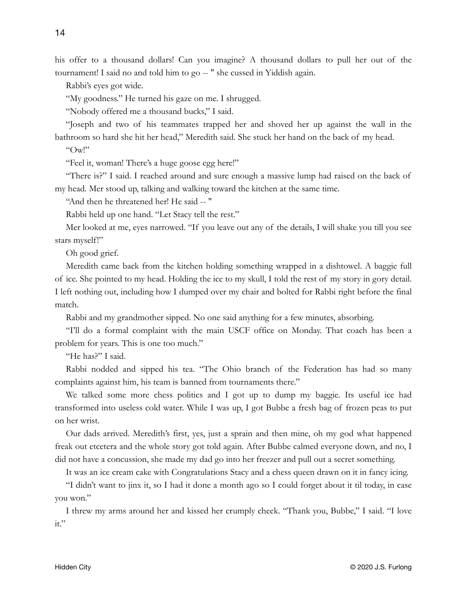his offer to a thousand dollars! Can you imagine? A thousand dollars to pull her out of the tournament! I said no and told him to go -- " she cussed in Yiddish again.

Rabbi's eyes got wide.

"My goodness." He turned his gaze on me. I shrugged.

"Nobody offered me a thousand bucks," I said.

"Joseph and two of his teammates trapped her and shoved her up against the wall in the bathroom so hard she hit her head," Meredith said. She stuck her hand on the back of my head.

" $\text{Ow}$ "

"Feel it, woman! There's a huge goose egg here!"

"There is?" I said. I reached around and sure enough a massive lump had raised on the back of my head. Mer stood up, talking and walking toward the kitchen at the same time.

"And then he threatened her! He said -- "

Rabbi held up one hand. "Let Stacy tell the rest."

Mer looked at me, eyes narrowed. "If you leave out any of the details, I will shake you till you see stars myself!"

Oh good grief.

Meredith came back from the kitchen holding something wrapped in a dishtowel. A baggie full of ice. She pointed to my head. Holding the ice to my skull, I told the rest of my story in gory detail. I left nothing out, including how I dumped over my chair and bolted for Rabbi right before the final match.

Rabbi and my grandmother sipped. No one said anything for a few minutes, absorbing.

"I'll do a formal complaint with the main USCF office on Monday. That coach has been a problem for years. This is one too much."

"He has?" I said.

Rabbi nodded and sipped his tea. "The Ohio branch of the Federation has had so many complaints against him, his team is banned from tournaments there."

We talked some more chess politics and I got up to dump my baggie. Its useful ice had transformed into useless cold water. While I was up, I got Bubbe a fresh bag of frozen peas to put on her wrist.

Our dads arrived. Meredith's first, yes, just a sprain and then mine, oh my god what happened freak out etcetera and the whole story got told again. After Bubbe calmed everyone down, and no, I did not have a concussion, she made my dad go into her freezer and pull out a secret something.

It was an ice cream cake with Congratulations Stacy and a chess queen drawn on it in fancy icing.

"I didn't want to jinx it, so I had it done a month ago so I could forget about it til today, in case you won."

I threw my arms around her and kissed her crumply cheek. "Thank you, Bubbe," I said. "I love it."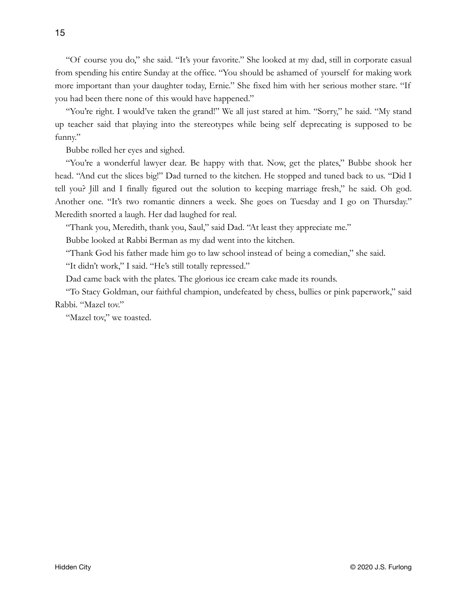"Of course you do," she said. "It's your favorite." She looked at my dad, still in corporate casual from spending his entire Sunday at the office. "You should be ashamed of yourself for making work more important than your daughter today, Ernie." She fixed him with her serious mother stare. "If you had been there none of this would have happened."

"You're right. I would've taken the grand!" We all just stared at him. "Sorry," he said. "My stand up teacher said that playing into the stereotypes while being self deprecating is supposed to be funny."

Bubbe rolled her eyes and sighed.

"You're a wonderful lawyer dear. Be happy with that. Now, get the plates," Bubbe shook her head. "And cut the slices big!" Dad turned to the kitchen. He stopped and tuned back to us. "Did I tell you? Jill and I finally figured out the solution to keeping marriage fresh," he said. Oh god. Another one. "It's two romantic dinners a week. She goes on Tuesday and I go on Thursday." Meredith snorted a laugh. Her dad laughed for real.

"Thank you, Meredith, thank you, Saul," said Dad. "At least they appreciate me."

Bubbe looked at Rabbi Berman as my dad went into the kitchen.

"Thank God his father made him go to law school instead of being a comedian," she said.

"It didn't work," I said. "He's still totally repressed."

Dad came back with the plates. The glorious ice cream cake made its rounds.

"To Stacy Goldman, our faithful champion, undefeated by chess, bullies or pink paperwork," said Rabbi. "Mazel tov."

"Mazel tov," we toasted.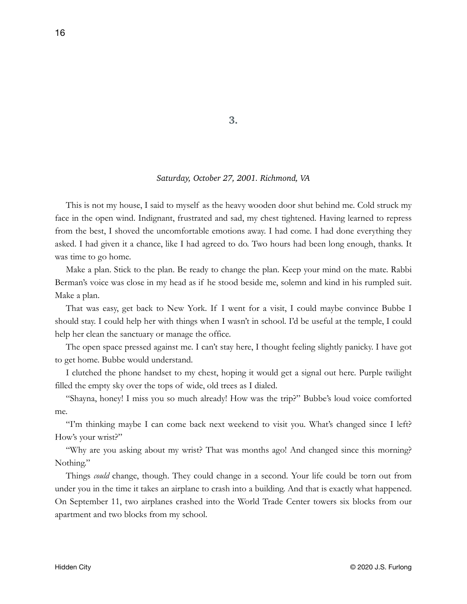#### *Saturday, October 27, 2001. Richmond, VA*

**3.** 

This is not my house, I said to myself as the heavy wooden door shut behind me. Cold struck my face in the open wind. Indignant, frustrated and sad, my chest tightened. Having learned to repress from the best, I shoved the uncomfortable emotions away. I had come. I had done everything they asked. I had given it a chance, like I had agreed to do. Two hours had been long enough, thanks. It was time to go home.

Make a plan. Stick to the plan. Be ready to change the plan. Keep your mind on the mate. Rabbi Berman's voice was close in my head as if he stood beside me, solemn and kind in his rumpled suit. Make a plan.

That was easy, get back to New York. If I went for a visit, I could maybe convince Bubbe I should stay. I could help her with things when I wasn't in school. I'd be useful at the temple, I could help her clean the sanctuary or manage the office.

The open space pressed against me. I can't stay here, I thought feeling slightly panicky. I have got to get home. Bubbe would understand.

I clutched the phone handset to my chest, hoping it would get a signal out here. Purple twilight filled the empty sky over the tops of wide, old trees as I dialed.

"Shayna, honey! I miss you so much already! How was the trip?" Bubbe's loud voice comforted me.

"I'm thinking maybe I can come back next weekend to visit you. What's changed since I left? How's your wrist?"

"Why are you asking about my wrist? That was months ago! And changed since this morning? Nothing."

Things *could* change, though. They could change in a second. Your life could be torn out from under you in the time it takes an airplane to crash into a building. And that is exactly what happened. On September 11, two airplanes crashed into the World Trade Center towers six blocks from our apartment and two blocks from my school.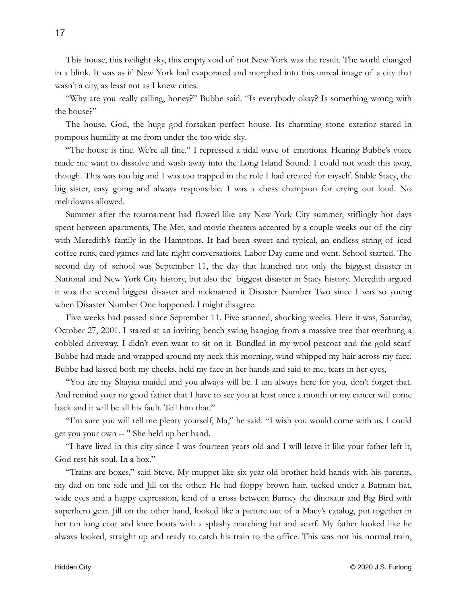This house, this twilight sky, this empty void of not New York was the result. The world changed in a blink. It was as if New York had evaporated and morphed into this unreal image of a city that wasn't a city, as least not as I knew cities.

"Why are you really calling, honey?" Bubbe said. "Is everybody okay? Is something wrong with the house?"

The house. God, the huge god-forsaken perfect house. Its charming stone exterior stared in pompous humility at me from under the too wide sky.

"The house is fine. We're all fine." I repressed a tidal wave of emotions. Hearing Bubbe's voice made me want to dissolve and wash away into the Long Island Sound. I could not wash this away, though. This was too big and I was too trapped in the role I had created for myself. Stable Stacy, the big sister, easy going and always responsible. I was a chess champion for crying out loud. No meltdowns allowed.

Summer after the tournament had flowed like any New York City summer, stiflingly hot days spent between apartments, The Met, and movie theaters accented by a couple weeks out of the city with Meredith's family in the Hamptons. It had been sweet and typical, an endless string of iced coffee runs, card games and late night conversations. Labor Day came and went. School started. The second day of school was September 11, the day that launched not only the biggest disaster in National and New York City history, but also the biggest disaster in Stacy history. Meredith argued it was the second biggest disaster and nicknamed it Disaster Number Two since I was so young when Disaster Number One happened. I might disagree.

Five weeks had passed since September 11. Five stunned, shocking weeks. Here it was, Saturday, October 27, 2001. I stared at an inviting bench swing hanging from a massive tree that overhung a cobbled driveway. I didn't even want to sit on it. Bundled in my wool peacoat and the gold scarf Bubbe had made and wrapped around my neck this morning, wind whipped my hair across my face. Bubbe had kissed both my cheeks, held my face in her hands and said to me, tears in her eyes,

"You are my Shayna maidel and you always will be. I am always here for you, don't forget that. And remind your no good father that I have to see you at least once a month or my cancer will come back and it will be all his fault. Tell him that."

"I'm sure you will tell me plenty yourself, Ma," he said. "I wish you would come with us. I could get you your own -- " She held up her hand.

"I have lived in this city since I was fourteen years old and I will leave it like your father left it, God rest his soul. In a box."

"Trains are boxes," said Steve. My muppet-like six-year-old brother held hands with his parents, my dad on one side and Jill on the other. He had floppy brown hair, tucked under a Batman hat, wide eyes and a happy expression, kind of a cross between Barney the dinosaur and Big Bird with superhero gear. Jill on the other hand, looked like a picture out of a Macy's catalog, put together in her tan long coat and knee boots with a splashy matching hat and scarf. My father looked like he always looked, straight up and ready to catch his train to the office. This was not his normal train,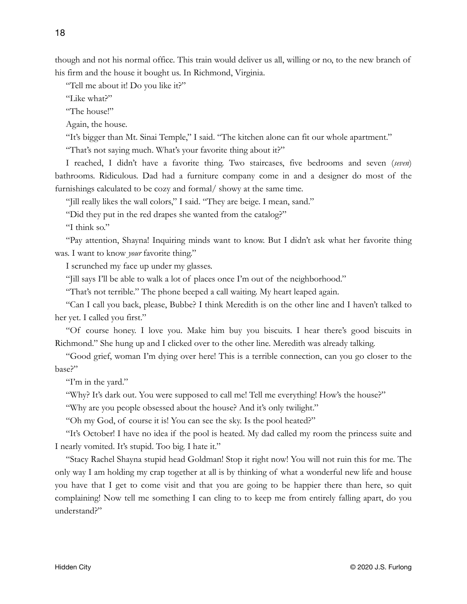though and not his normal office. This train would deliver us all, willing or no, to the new branch of his firm and the house it bought us. In Richmond, Virginia.

"Tell me about it! Do you like it?"

"Like what?"

"The house!"

Again, the house.

"It's bigger than Mt. Sinai Temple," I said. "The kitchen alone can fit our whole apartment."

"That's not saying much. What's your favorite thing about it?"

I reached, I didn't have a favorite thing. Two staircases, five bedrooms and seven (*seven*) bathrooms. Ridiculous. Dad had a furniture company come in and a designer do most of the furnishings calculated to be cozy and formal/ showy at the same time.

"Jill really likes the wall colors," I said. "They are beige. I mean, sand."

"Did they put in the red drapes she wanted from the catalog?"

"I think so."

"Pay attention, Shayna! Inquiring minds want to know. But I didn't ask what her favorite thing was. I want to know *your* favorite thing."

I scrunched my face up under my glasses.

"Jill says I'll be able to walk a lot of places once I'm out of the neighborhood."

"That's not terrible." The phone beeped a call waiting. My heart leaped again.

"Can I call you back, please, Bubbe? I think Meredith is on the other line and I haven't talked to her yet. I called you first."

"Of course honey. I love you. Make him buy you biscuits. I hear there's good biscuits in Richmond." She hung up and I clicked over to the other line. Meredith was already talking.

"Good grief, woman I'm dying over here! This is a terrible connection, can you go closer to the base?"

"I'm in the yard."

"Why? It's dark out. You were supposed to call me! Tell me everything! How's the house?"

"Why are you people obsessed about the house? And it's only twilight."

"Oh my God, of course it is! You can see the sky. Is the pool heated?"

"It's October! I have no idea if the pool is heated. My dad called my room the princess suite and I nearly vomited. It's stupid. Too big. I hate it."

"Stacy Rachel Shayna stupid head Goldman! Stop it right now! You will not ruin this for me. The only way I am holding my crap together at all is by thinking of what a wonderful new life and house you have that I get to come visit and that you are going to be happier there than here, so quit complaining! Now tell me something I can cling to to keep me from entirely falling apart, do you understand?"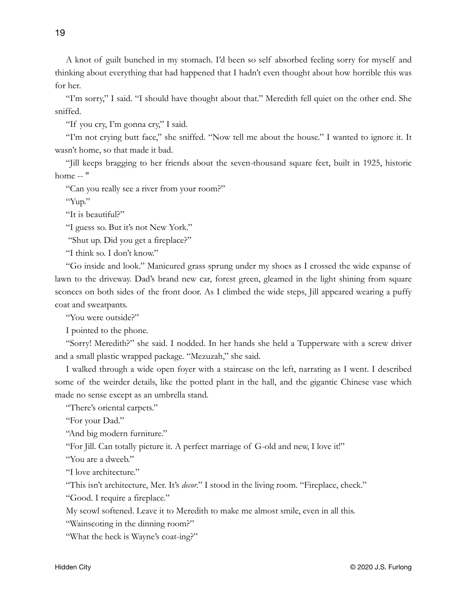A knot of guilt bunched in my stomach. I'd been so self absorbed feeling sorry for myself and thinking about everything that had happened that I hadn't even thought about how horrible this was for her.

"I'm sorry," I said. "I should have thought about that." Meredith fell quiet on the other end. She sniffed.

"If you cry, I'm gonna cry," I said.

"I'm not crying butt face," she sniffed. "Now tell me about the house." I wanted to ignore it. It wasn't home, so that made it bad.

"Jill keeps bragging to her friends about the seven-thousand square feet, built in 1925, historic home -- "

"Can you really see a river from your room?"

"Yup."

"It is beautiful?"

"I guess so. But it's not New York."

"Shut up. Did you get a fireplace?"

"I think so. I don't know."

"Go inside and look." Manicured grass sprung under my shoes as I crossed the wide expanse of lawn to the driveway. Dad's brand new car, forest green, gleamed in the light shining from square sconces on both sides of the front door. As I climbed the wide steps, Jill appeared wearing a puffy coat and sweatpants.

"You were outside?"

I pointed to the phone.

"Sorry! Meredith?" she said. I nodded. In her hands she held a Tupperware with a screw driver and a small plastic wrapped package. "Mezuzah," she said.

I walked through a wide open foyer with a staircase on the left, narrating as I went. I described some of the weirder details, like the potted plant in the hall, and the gigantic Chinese vase which made no sense except as an umbrella stand.

"There's oriental carpets."

"For your Dad."

"And big modern furniture."

"For Jill. Can totally picture it. A perfect marriage of G-old and new, I love it!"

"You are a dweeb."

"I love architecture."

"This isn't architecture, Mer. It's *decor*." I stood in the living room. "Fireplace, check."

"Good. I require a fireplace."

My scowl softened. Leave it to Meredith to make me almost smile, even in all this.

"Wainscoting in the dinning room?"

"What the heck is Wayne's coat-ing?"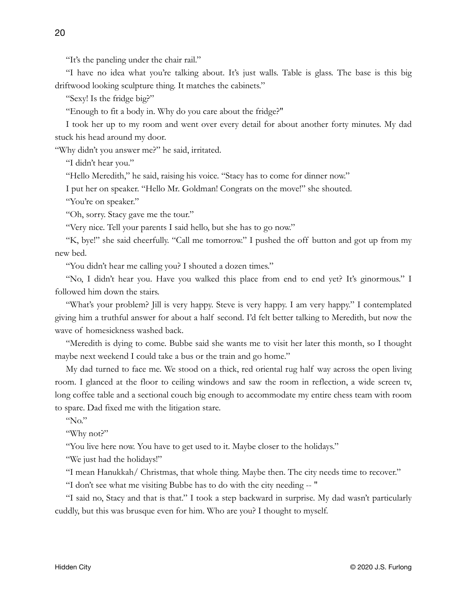"It's the paneling under the chair rail."

"I have no idea what you're talking about. It's just walls. Table is glass. The base is this big driftwood looking sculpture thing. It matches the cabinets."

"Sexy! Is the fridge big?"

"Enough to fit a body in. Why do you care about the fridge?"

I took her up to my room and went over every detail for about another forty minutes. My dad stuck his head around my door.

"Why didn't you answer me?" he said, irritated.

"I didn't hear you."

"Hello Meredith," he said, raising his voice. "Stacy has to come for dinner now."

I put her on speaker. "Hello Mr. Goldman! Congrats on the move!" she shouted.

"You're on speaker."

"Oh, sorry. Stacy gave me the tour."

"Very nice. Tell your parents I said hello, but she has to go now."

"K, bye!" she said cheerfully. "Call me tomorrow." I pushed the off button and got up from my new bed.

"You didn't hear me calling you? I shouted a dozen times."

"No, I didn't hear you. Have you walked this place from end to end yet? It's ginormous." I followed him down the stairs.

"What's your problem? Jill is very happy. Steve is very happy. I am very happy." I contemplated giving him a truthful answer for about a half second. I'd felt better talking to Meredith, but now the wave of homesickness washed back.

"Meredith is dying to come. Bubbe said she wants me to visit her later this month, so I thought maybe next weekend I could take a bus or the train and go home."

My dad turned to face me. We stood on a thick, red oriental rug half way across the open living room. I glanced at the floor to ceiling windows and saw the room in reflection, a wide screen tv, long coffee table and a sectional couch big enough to accommodate my entire chess team with room to spare. Dad fixed me with the litigation stare.

"No."

"Why not?"

"You live here now. You have to get used to it. Maybe closer to the holidays."

"We just had the holidays!"

"I mean Hanukkah/ Christmas, that whole thing. Maybe then. The city needs time to recover."

"I don't see what me visiting Bubbe has to do with the city needing -- "

"I said no, Stacy and that is that." I took a step backward in surprise. My dad wasn't particularly cuddly, but this was brusque even for him. Who are you? I thought to myself.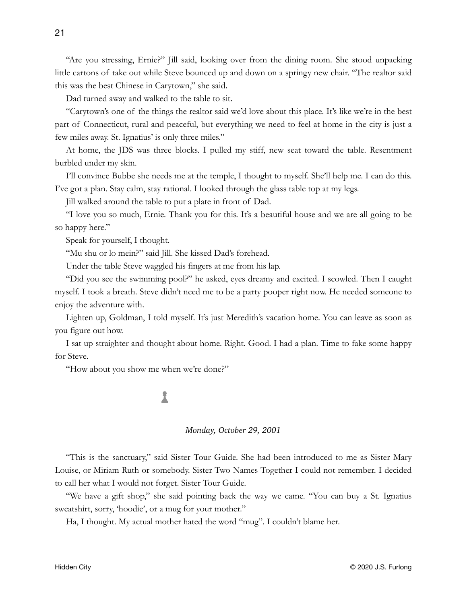"Are you stressing, Ernie?" Jill said, looking over from the dining room. She stood unpacking little cartons of take out while Steve bounced up and down on a springy new chair. "The realtor said this was the best Chinese in Carytown," she said.

Dad turned away and walked to the table to sit.

"Carytown's one of the things the realtor said we'd love about this place. It's like we're in the best part of Connecticut, rural and peaceful, but everything we need to feel at home in the city is just a few miles away. St. Ignatius' is only three miles."

At home, the JDS was three blocks. I pulled my stiff, new seat toward the table. Resentment burbled under my skin.

I'll convince Bubbe she needs me at the temple, I thought to myself. She'll help me. I can do this. I've got a plan. Stay calm, stay rational. I looked through the glass table top at my legs.

Jill walked around the table to put a plate in front of Dad.

"I love you so much, Ernie. Thank you for this. It's a beautiful house and we are all going to be so happy here."

Speak for yourself, I thought.

"Mu shu or lo mein?" said Jill. She kissed Dad's forehead.

Under the table Steve waggled his fingers at me from his lap.

"Did you see the swimming pool?" he asked, eyes dreamy and excited. I scowled. Then I caught myself. I took a breath. Steve didn't need me to be a party pooper right now. He needed someone to enjoy the adventure with.

Lighten up, Goldman, I told myself. It's just Meredith's vacation home. You can leave as soon as you figure out how.

I sat up straighter and thought about home. Right. Good. I had a plan. Time to fake some happy for Steve.

"How about you show me when we're done?"

# I

### *Monday, October 29, 2001*

"This is the sanctuary," said Sister Tour Guide. She had been introduced to me as Sister Mary Louise, or Miriam Ruth or somebody. Sister Two Names Together I could not remember. I decided to call her what I would not forget. Sister Tour Guide.

"We have a gift shop," she said pointing back the way we came. "You can buy a St. Ignatius sweatshirt, sorry, 'hoodie', or a mug for your mother."

Ha, I thought. My actual mother hated the word "mug". I couldn't blame her.